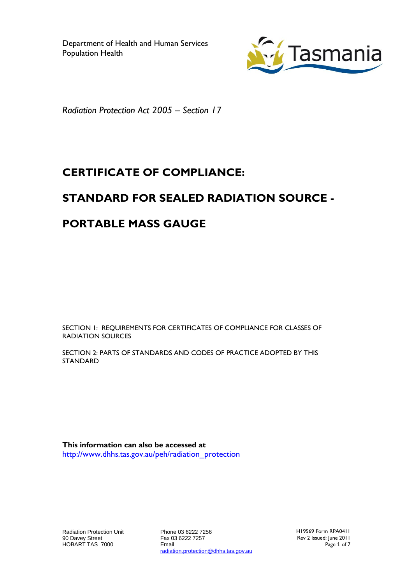

*Radiation Protection Act 2005 – Section 17*

# **CERTIFICATE OF COMPLIANCE:**

## **STANDARD FOR SEALED RADIATION SOURCE -**

### **PORTABLE MASS GAUGE**

SECTION 1: REQUIREMENTS FOR CERTIFICATES OF COMPLIANCE FOR CLASSES OF RADIATION SOURCES

SECTION 2: PARTS OF STANDARDS AND CODES OF PRACTICE ADOPTED BY THIS STANDARD

**This information can also be accessed at** [http://www.dhhs.tas.gov.au/peh/radiation\\_protection](http://www.dhhs.tas.gov.au/peh/radiation_protection)

Radiation Protection Unit 90 Davey Street HOBART TAS 7000

Phone 03 6222 7256 Fax 03 6222 7257 Email radiation.protection@dhhs.tas.gov.au H19569 Form RPA0411 Rev 2 Issued: June 2011 Page 1 of 7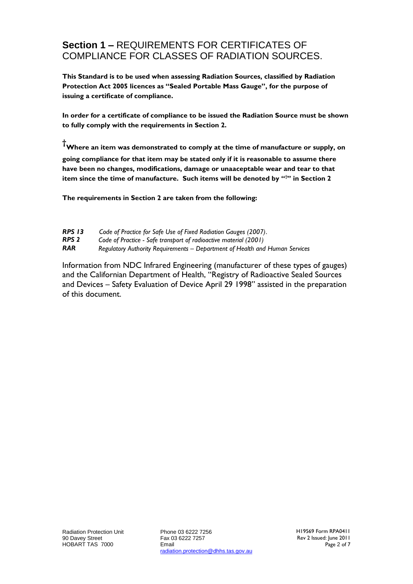### **Section 1 –** REQUIREMENTS FOR CERTIFICATES OF COMPLIANCE FOR CLASSES OF RADIATION SOURCES.

**This Standard is to be used when assessing Radiation Sources, classified by Radiation Protection Act 2005 licences as "Sealed Portable Mass Gauge", for the purpose of issuing a certificate of compliance.**

**In order for a certificate of compliance to be issued the Radiation Source must be shown to fully comply with the requirements in Section 2.**

**†Where an item was demonstrated to comply at the time of manufacture or supply, on going compliance for that item may be stated only if it is reasonable to assume there have been no changes, modifications, damage or unaaceptable wear and tear to that item since the time of manufacture. Such items will be denoted by "†" in Section 2**

**The requirements in Section 2 are taken from the following:**

| <b>RPS 13</b> | Code of Practice for Safe Use of Fixed Radiation Gauges (2007).             |
|---------------|-----------------------------------------------------------------------------|
| RPS 2         | Code of Practice - Safe transport of radioactive material (2001)            |
| RAR           | Regulatory Authority Requirements - Department of Health and Human Services |

Information from NDC Infrared Engineering (manufacturer of these types of gauges) and the Californian Department of Health, "Registry of Radioactive Sealed Sources and Devices – Safety Evaluation of Device April 29 1998" assisted in the preparation of this document.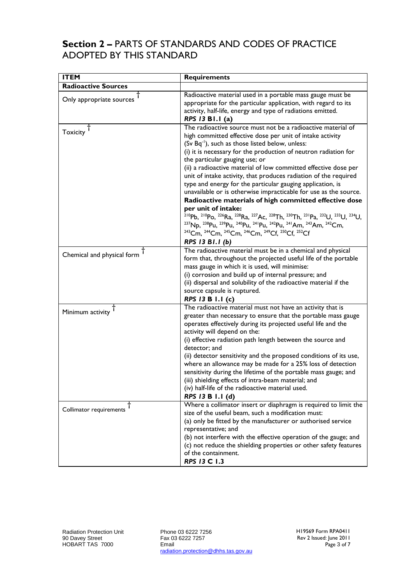#### **Section 2 –** PARTS OF STANDARDS AND CODES OF PRACTICE ADOPTED BY THIS STANDARD

| <b>ITEM</b>                | <b>Requirements</b>                                                                                                                                                                                                                                                                                                                                                                                                                                                                                                                                                                                                                                                                                                                                                                                                                                                                                                                                                                                                                                                                                                                                                                                              |
|----------------------------|------------------------------------------------------------------------------------------------------------------------------------------------------------------------------------------------------------------------------------------------------------------------------------------------------------------------------------------------------------------------------------------------------------------------------------------------------------------------------------------------------------------------------------------------------------------------------------------------------------------------------------------------------------------------------------------------------------------------------------------------------------------------------------------------------------------------------------------------------------------------------------------------------------------------------------------------------------------------------------------------------------------------------------------------------------------------------------------------------------------------------------------------------------------------------------------------------------------|
| <b>Radioactive Sources</b> |                                                                                                                                                                                                                                                                                                                                                                                                                                                                                                                                                                                                                                                                                                                                                                                                                                                                                                                                                                                                                                                                                                                                                                                                                  |
| Only appropriate sources   | Radioactive material used in a portable mass gauge must be<br>appropriate for the particular application, with regard to its<br>activity, half-life, energy and type of radiations emitted.<br>RPS 13 B1.1 (a)                                                                                                                                                                                                                                                                                                                                                                                                                                                                                                                                                                                                                                                                                                                                                                                                                                                                                                                                                                                                   |
| Toxicity <sup>T</sup>      | The radioactive source must not be a radioactive material of<br>high committed effective dose per unit of intake activity<br>(Sv Bq <sup>-1</sup> ), such as those listed below, unless:<br>(i) it is necessary for the production of neutron radiation for<br>the particular gauging use; or<br>(ii) a radioactive material of low committed effective dose per<br>unit of intake activity, that produces radiation of the required<br>type and energy for the particular gauging application, is<br>unavailable or is otherwise impracticable for use as the source.<br>Radioactive materials of high committed effective dose<br>per unit of intake:<br><sup>210</sup> Pb, <sup>210</sup> Po, <sup>226</sup> Ra, <sup>228</sup> Ra, <sup>227</sup> Ac, <sup>228</sup> Th, <sup>230</sup> Th, <sup>231</sup> Pa, <sup>232</sup> U, <sup>233</sup> U, <sup>234</sup> U,<br><sup>237</sup> Np, <sup>238</sup> Pu, <sup>239</sup> Pu, <sup>240</sup> Pu, <sup>241</sup> Pu, <sup>242</sup> Pu, <sup>241</sup> Am, <sup>243</sup> Am, <sup>242</sup> Cm,<br><sup>243</sup> Cm, <sup>244</sup> Cm, <sup>245</sup> Cm, <sup>246</sup> Cm, <sup>249</sup> Cf, <sup>250</sup> Cf, <sup>252</sup> Cf<br>RPS 13 B1.1 (b) |
| Chemical and physical form | The radioactive material must be in a chemical and physical<br>form that, throughout the projected useful life of the portable<br>mass gauge in which it is used, will minimise:<br>(i) corrosion and build up of internal pressure; and<br>(ii) dispersal and solubility of the radioactive material if the<br>source capsule is ruptured.<br>RPS 13 B 1.1 (c)                                                                                                                                                                                                                                                                                                                                                                                                                                                                                                                                                                                                                                                                                                                                                                                                                                                  |
| Minimum activity           | The radioactive material must not have an activity that is<br>greater than necessary to ensure that the portable mass gauge<br>operates effectively during its projected useful life and the<br>activity will depend on the:<br>(i) effective radiation path length between the source and<br>detector; and<br>(ii) detector sensitivity and the proposed conditions of its use,<br>where an allowance may be made for a 25% loss of detection<br>sensitivity during the lifetime of the portable mass gauge; and<br>(iii) shielding effects of intra-beam material; and<br>(iv) half-life of the radioactive material used.<br>RPS 13 B 1.1 (d)                                                                                                                                                                                                                                                                                                                                                                                                                                                                                                                                                                 |
| Collimator requirements    | Where a collimator insert or diaphragm is required to limit the<br>size of the useful beam, such a modification must:<br>(a) only be fitted by the manufacturer or authorised service<br>representative; and<br>(b) not interfere with the effective operation of the gauge; and<br>(c) not reduce the shielding properties or other safety features<br>of the containment.<br>RPS 13 C 1.3                                                                                                                                                                                                                                                                                                                                                                                                                                                                                                                                                                                                                                                                                                                                                                                                                      |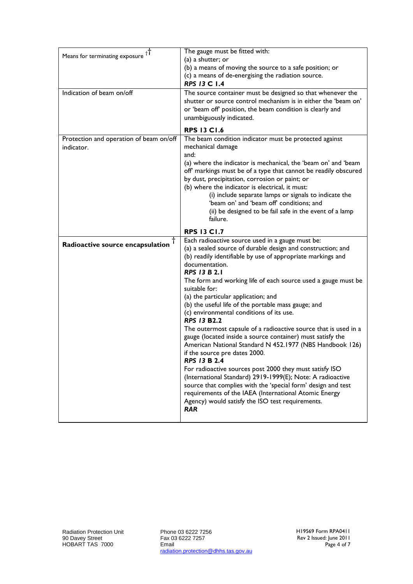|                                          | The gauge must be fitted with:                                                                    |
|------------------------------------------|---------------------------------------------------------------------------------------------------|
| Means for terminating exposure $\dagger$ | (a) a shutter; or                                                                                 |
|                                          | (b) a means of moving the source to a safe position; or                                           |
|                                          | (c) a means of de-energising the radiation source.                                                |
|                                          | <b>RPS 13 C 1.4</b>                                                                               |
| Indication of beam on/off                | The source container must be designed so that whenever the                                        |
|                                          | shutter or source control mechanism is in either the 'beam on'                                    |
|                                          | or 'beam off' position, the beam condition is clearly and                                         |
|                                          | unambiguously indicated.                                                                          |
|                                          |                                                                                                   |
|                                          | <b>RPS 13 C1.6</b>                                                                                |
| Protection and operation of beam on/off  | The beam condition indicator must be protected against                                            |
| indicator.                               | mechanical damage                                                                                 |
|                                          | and:                                                                                              |
|                                          | (a) where the indicator is mechanical, the 'beam on' and 'beam                                    |
|                                          | off markings must be of a type that cannot be readily obscured                                    |
|                                          | by dust, precipitation, corrosion or paint; or                                                    |
|                                          | (b) where the indicator is electrical, it must:                                                   |
|                                          | (i) include separate lamps or signals to indicate the<br>'beam on' and 'beam off' conditions; and |
|                                          | (ii) be designed to be fail safe in the event of a lamp                                           |
|                                          | failure.                                                                                          |
|                                          |                                                                                                   |
|                                          | <b>RPS 13 C1.7</b>                                                                                |
| Radioactive source encapsulation         | Each radioactive source used in a gauge must be:                                                  |
|                                          | (a) a sealed source of durable design and construction; and                                       |
|                                          | (b) readily identifiable by use of appropriate markings and                                       |
|                                          | documentation.<br><b>RPS 13 B 2.1</b>                                                             |
|                                          |                                                                                                   |
|                                          | The form and working life of each source used a gauge must be<br>suitable for:                    |
|                                          | (a) the particular application; and                                                               |
|                                          | (b) the useful life of the portable mass gauge; and                                               |
|                                          | (c) environmental conditions of its use.                                                          |
|                                          | <b>RPS 13 B2.2</b>                                                                                |
|                                          | The outermost capsule of a radioactive source that is used in a                                   |
|                                          | gauge (located inside a source container) must satisfy the                                        |
|                                          | American National Standard N 452.1977 (NBS Handbook 126)                                          |
|                                          | if the source pre dates 2000.                                                                     |
|                                          | <b>RPS 13 B 2.4</b>                                                                               |
|                                          | For radioactive sources post 2000 they must satisfy ISO                                           |
|                                          | (International Standard) 2919-1999(E); Note: A radioactive                                        |
|                                          | source that complies with the 'special form' design and test                                      |
|                                          | requirements of the IAEA (International Atomic Energy                                             |
|                                          | Agency) would satisfy the ISO test requirements.                                                  |
|                                          | <b>RAR</b>                                                                                        |
|                                          |                                                                                                   |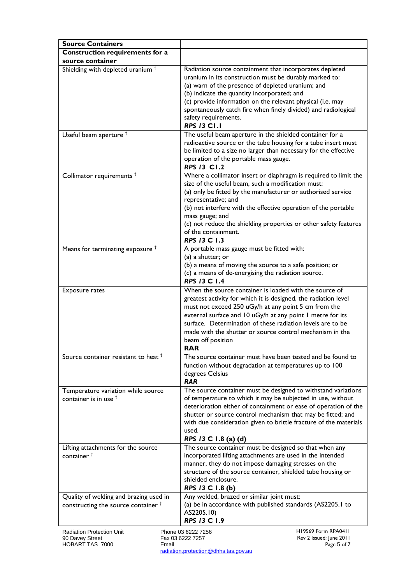| <b>Source Containers</b>                                                        |                                                                                                                                                                                                                                                                                                                                                                                                                     |
|---------------------------------------------------------------------------------|---------------------------------------------------------------------------------------------------------------------------------------------------------------------------------------------------------------------------------------------------------------------------------------------------------------------------------------------------------------------------------------------------------------------|
| Construction requirements for a                                                 |                                                                                                                                                                                                                                                                                                                                                                                                                     |
| source container                                                                |                                                                                                                                                                                                                                                                                                                                                                                                                     |
| Shielding with depleted uranium $†$                                             | Radiation source containment that incorporates depleted<br>uranium in its construction must be durably marked to:<br>(a) warn of the presence of depleted uranium; and<br>(b) indicate the quantity incorporated; and<br>(c) provide information on the relevant physical (i.e. may<br>spontaneously catch fire when finely divided) and radiological<br>safety requirements.<br><b>RPS 13 C1.1</b>                 |
| Useful beam aperture <sup>†</sup>                                               | The useful beam aperture in the shielded container for a<br>radioactive source or the tube housing for a tube insert must<br>be limited to a size no larger than necessary for the effective<br>operation of the portable mass gauge.<br><b>RPS 13 C1.2</b>                                                                                                                                                         |
| Collimator requirements <sup>†</sup>                                            | Where a collimator insert or diaphragm is required to limit the<br>size of the useful beam, such a modification must:<br>(a) only be fitted by the manufacturer or authorised service<br>representative; and<br>(b) not interfere with the effective operation of the portable<br>mass gauge; and<br>(c) not reduce the shielding properties or other safety features<br>of the containment.<br><b>RPS 13 C 1.3</b> |
| Means for terminating exposure $†$                                              | A portable mass gauge must be fitted with:<br>(a) a shutter; or<br>(b) a means of moving the source to a safe position; or<br>(c) a means of de-energising the radiation source.<br><b>RPS 13 C 1.4</b>                                                                                                                                                                                                             |
| Exposure rates                                                                  | When the source container is loaded with the source of<br>greatest activity for which it is designed, the radiation level<br>must not exceed 250 uGy/h at any point 5 cm from the<br>external surface and 10 uGy/h at any point 1 metre for its<br>surface. Determination of these radiation levels are to be<br>made with the shutter or source control mechanism in the<br>beam off position<br>RAR               |
| Source container resistant to heat <sup>†</sup>                                 | The source container must have been tested and be found to<br>function without degradation at temperatures up to 100<br>degrees Celsius<br><b>RAR</b>                                                                                                                                                                                                                                                               |
| Temperature variation while source<br>container is in use <sup>†</sup>          | The source container must be designed to withstand variations<br>of temperature to which it may be subjected in use, without<br>deterioration either of containment or ease of operation of the<br>shutter or source control mechanism that may be fitted; and<br>with due consideration given to brittle fracture of the materials<br>used.<br>RPS 13 C 1.8 (a) (d)                                                |
| Lifting attachments for the source<br>container <sup>†</sup>                    | The source container must be designed so that when any<br>incorporated lifting attachments are used in the intended<br>manner, they do not impose damaging stresses on the<br>structure of the source container, shielded tube housing or<br>shielded enclosure.<br>RPS 13 C 1.8 (b)                                                                                                                                |
| Quality of welding and brazing used in<br>constructing the source container $†$ | Any welded, brazed or similar joint must:<br>(a) be in accordance with published standards (AS2205.1 to<br>AS2205.10)<br>RPS 13 C 1.9                                                                                                                                                                                                                                                                               |
| <b>Radiation Protection Unit</b><br>90 Davey Street<br>HOBART TAS 7000<br>Email | H19569 Form RPA0411<br>Phone 03 6222 7256<br>Rev 2 Issued: June 2011<br>Fax 03 6222 7257<br>Page 5 of 7                                                                                                                                                                                                                                                                                                             |

radiation.protection@dhhs.tas.gov.au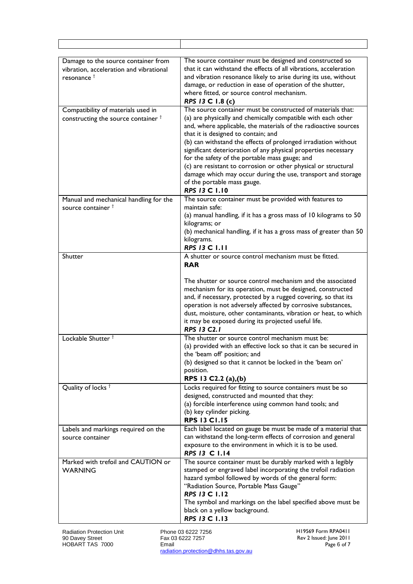| Damage to the source container from<br>vibration, acceleration and vibrational<br>resonance <sup>†</sup> | The source container must be designed and constructed so<br>that it can withstand the effects of all vibrations, acceleration<br>and vibration resonance likely to arise during its use, without<br>damage, or reduction in ease of operation of the shutter,<br>where fitted, or source control mechanism.<br>RPS 13 C 1.8 (c)                                                                                                                                                                                                                                                                               |
|----------------------------------------------------------------------------------------------------------|---------------------------------------------------------------------------------------------------------------------------------------------------------------------------------------------------------------------------------------------------------------------------------------------------------------------------------------------------------------------------------------------------------------------------------------------------------------------------------------------------------------------------------------------------------------------------------------------------------------|
| Compatibility of materials used in<br>constructing the source container $†$                              | The source container must be constructed of materials that:<br>(a) are physically and chemically compatible with each other<br>and, where applicable, the materials of the radioactive sources<br>that it is designed to contain; and<br>(b) can withstand the effects of prolonged irradiation without<br>significant deterioration of any physical properties necessary<br>for the safety of the portable mass gauge; and<br>(c) are resistant to corrosion or other physical or structural<br>damage which may occur during the use, transport and storage<br>of the portable mass gauge.<br>RPS 13 C 1.10 |
| Manual and mechanical handling for the<br>source container <sup>†</sup>                                  | The source container must be provided with features to<br>maintain safe:<br>(a) manual handling, if it has a gross mass of 10 kilograms to 50<br>kilograms; or<br>(b) mechanical handling, if it has a gross mass of greater than 50<br>kilograms.<br><b>RPS 13 C 1.11</b>                                                                                                                                                                                                                                                                                                                                    |
| Shutter                                                                                                  | A shutter or source control mechanism must be fitted.<br><b>RAR</b><br>The shutter or source control mechanism and the associated<br>mechanism for its operation, must be designed, constructed<br>and, if necessary, protected by a rugged covering, so that its<br>operation is not adversely affected by corrosive substances,<br>dust, moisture, other contaminants, vibration or heat, to which<br>it may be exposed during its projected useful life.<br><b>RPS 13 C2.1</b>                                                                                                                             |
| Lockable Shutter <sup>†</sup>                                                                            | The shutter or source control mechanism must be:<br>(a) provided with an effective lock so that it can be secured in<br>the 'beam off' position; and<br>(b) designed so that it cannot be locked in the 'beam on'<br>position.<br>RPS 13 C2.2 (a), (b)                                                                                                                                                                                                                                                                                                                                                        |
| Quality of locks <sup>†</sup>                                                                            | Locks required for fitting to source containers must be so<br>designed, constructed and mounted that they:<br>(a) forcible interference using common hand tools; and<br>(b) key cylinder picking.<br><b>RPS 13 C1.15</b>                                                                                                                                                                                                                                                                                                                                                                                      |
| Labels and markings required on the<br>source container                                                  | Each label located on gauge be must be made of a material that<br>can withstand the long-term effects of corrosion and general<br>exposure to the environment in which it is to be used.<br>RPS 13 C 1.14                                                                                                                                                                                                                                                                                                                                                                                                     |
| Marked with trefoil and CAUTION or<br><b>WARNING</b>                                                     | The source container must be durably marked with a legibly<br>stamped or engraved label incorporating the trefoil radiation<br>hazard symbol followed by words of the general form:<br>"Radiation Source, Portable Mass Gauge"<br><b>RPS 13 C 1.12</b><br>The symbol and markings on the label specified above must be<br>black on a yellow background.<br><b>RPS 13 C 1.13</b>                                                                                                                                                                                                                               |